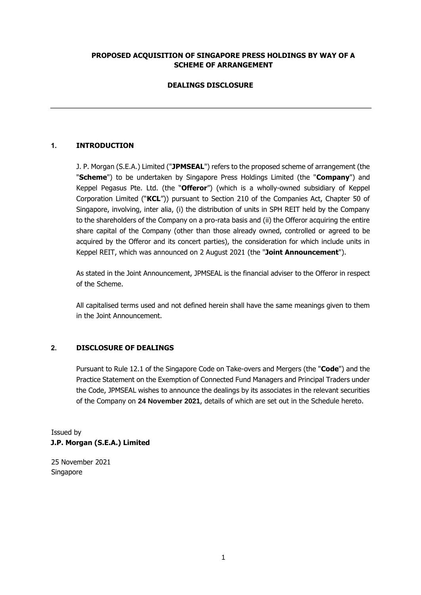#### **PROPOSED ACQUISITION OF SINGAPORE PRESS HOLDINGS BY WAY OF A SCHEME OF ARRANGEMENT**

# **DEALINGS DISCLOSURE**

# **1. INTRODUCTION**

J. P. Morgan (S.E.A.) Limited ("**JPMSEAL**") refers to the proposed scheme of arrangement (the "**Scheme**") to be undertaken by Singapore Press Holdings Limited (the "**Company**") and Keppel Pegasus Pte. Ltd. (the "**Offeror**") (which is a wholly-owned subsidiary of Keppel Corporation Limited ("**KCL**")) pursuant to Section 210 of the Companies Act, Chapter 50 of Singapore, involving, inter alia, (i) the distribution of units in SPH REIT held by the Company to the shareholders of the Company on a pro-rata basis and (ii) the Offeror acquiring the entire share capital of the Company (other than those already owned, controlled or agreed to be acquired by the Offeror and its concert parties), the consideration for which include units in Keppel REIT, which was announced on 2 August 2021 (the "**Joint Announcement**").

As stated in the Joint Announcement, JPMSEAL is the financial adviser to the Offeror in respect of the Scheme.

All capitalised terms used and not defined herein shall have the same meanings given to them in the Joint Announcement.

#### **2. DISCLOSURE OF DEALINGS**

Pursuant to Rule 12.1 of the Singapore Code on Take-overs and Mergers (the "**Code**") and the Practice Statement on the Exemption of Connected Fund Managers and Principal Traders under the Code, JPMSEAL wishes to announce the dealings by its associates in the relevant securities of the Company on **24 November 2021**, details of which are set out in the Schedule hereto.

Issued by **J.P. Morgan (S.E.A.) Limited** 

25 November 2021 Singapore